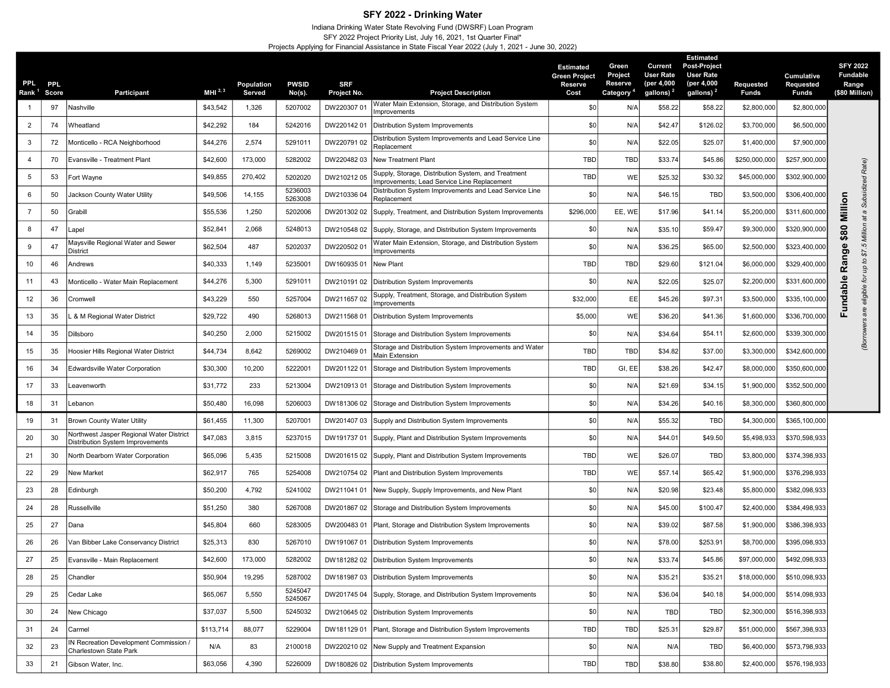## SFY 2022 - Drinking Water

## Indiana Drinking Water State Revolving Fund (DWSRF) Loan Program SFY 2022 Project Priority List, July 16, 2021, 1st Quarter Final\* Projects Applying for Financial Assistance in State Fiscal Year 2022 (July 1, 2021 - June 30, 2022)

| <b>PPL</b><br>Rank <sup>1</sup> Score | <b>PPL</b> | Participant                                                                  | MHI $^{2,3}$ | Population<br>Served | <b>PWSID</b><br>$No(s)$ . | <b>SRF</b><br>Project No. | <b>Project Description</b>                                                                        | <b>Estimated</b><br><b>Green Project</b><br>Reserve<br>Cost | Green<br>Project<br>Reserve<br><b>Category</b> | Current<br><b>User Rate</b><br>(per 4,000<br>gallons) <sup>2</sup> | <b>Estimated</b><br><b>Post-Project</b><br><b>User Rate</b><br>(per 4,000<br>gallons) <sup>2</sup> | <b>Requested</b><br><b>Funds</b> | Cumulative<br>Requested<br>Funds | <b>SFY 2022</b><br><b>Fundable</b><br>Range<br>(\$80 Million) |  |
|---------------------------------------|------------|------------------------------------------------------------------------------|--------------|----------------------|---------------------------|---------------------------|---------------------------------------------------------------------------------------------------|-------------------------------------------------------------|------------------------------------------------|--------------------------------------------------------------------|----------------------------------------------------------------------------------------------------|----------------------------------|----------------------------------|---------------------------------------------------------------|--|
|                                       | 97         | Nashville                                                                    | \$43,542     | 1,326                | 5207002                   | DW220307 01               | Water Main Extension, Storage, and Distribution System                                            | \$0                                                         | N/A                                            | \$58.22                                                            | \$58.22                                                                                            | \$2,800,000                      | \$2,800,000                      |                                                               |  |
| $\overline{2}$                        | 74         | Wheatland                                                                    | \$42,292     | 184                  | 5242016                   | DW220142 01               | Improvements<br>Distribution System Improvements                                                  | \$ <sub>6</sub>                                             | N/A                                            | \$42.47                                                            | \$126.02                                                                                           | \$3,700,000                      | \$6,500,000                      |                                                               |  |
| $\mathbf{3}$                          | 72         | Monticello - RCA Neighborhood                                                | \$44,276     | 2,574                | 5291011                   | DW220791 02               | Distribution System Improvements and Lead Service Line<br>Replacement                             | $$^{5$                                                      | N/A                                            | \$22.05                                                            | \$25.07                                                                                            | \$1,400,000                      | \$7,900,000                      |                                                               |  |
| $\overline{4}$                        | 70         | Evansville - Treatment Plant                                                 | \$42,600     | 173,000              | 5282002                   | DW220482 03               | New Treatment Plant                                                                               | TBD                                                         | <b>TBD</b>                                     | \$33.74                                                            | \$45.86                                                                                            | \$250,000,000                    | \$257,900,000                    |                                                               |  |
| $5\phantom{.0}$                       | 53         | Fort Wayne                                                                   | \$49,855     | 270,402              | 5202020                   | DW21021205                | Supply, Storage, Distribution System, and Treatment<br>mprovements; Lead Service Line Replacement | <b>TBC</b>                                                  | WE                                             | \$25.32                                                            | \$30.32                                                                                            | \$45,000,000                     | \$302,900,000                    | Rate)<br>ρć                                                   |  |
| 6                                     | 50         | Jackson County Water Utility                                                 | \$49,506     | 14,155               | 5236003<br>5263008        | DW210336 04               | Distribution System Improvements and Lead Service Line<br>Replacement                             | \$C                                                         | N/A                                            | \$46.15                                                            | TBD                                                                                                | \$3,500,000                      | \$306,400,000                    | Subsidi                                                       |  |
| $\overline{7}$                        | 50         | Grabill                                                                      | \$55,536     | 1,250                | 5202006                   | DW201302 02               | Supply, Treatment, and Distribution System Improvements                                           | \$296,000                                                   | EE, WE                                         | \$17.96                                                            | \$41.14                                                                                            | \$5,200,000                      | \$311,600,000                    | Million<br>a<br>ã                                             |  |
| 8                                     | 47         | Lapel                                                                        | \$52,841     | 2,068                | 5248013                   | DW210548 02               | Supply, Storage, and Distribution System Improvements                                             | \$0                                                         | N/A                                            | \$35.10                                                            | \$59.47                                                                                            | \$9,300,000                      | \$320,900,000                    | 80<br>Million                                                 |  |
| 9                                     | 47         | Maysville Regional Water and Sewer<br><b>District</b>                        | \$62,504     | 487                  | 5202037                   | DW220502 01               | Water Main Extension, Storage, and Distribution System<br>mprovements                             | \$0                                                         | N/A                                            | \$36.25                                                            | \$65.00                                                                                            | \$2,500,000                      | \$323,400,000                    | ↮<br>$\overline{5}$<br>$\mathbf{Q}$<br>\$7.                   |  |
| 10                                    | 46         | Andrews                                                                      | \$40,333     | 1,149                | 5235001                   | DW160935 01               | New Plant                                                                                         | TBD                                                         | <b>TBD</b>                                     | \$29.60                                                            | \$121.04                                                                                           | \$6,000,000                      | \$329,400,000                    | Rang<br>đ<br>ąп                                               |  |
| 11                                    | 43         | Monticello - Water Main Replacement                                          | \$44,276     | 5,300                | 5291011                   | DW210191 02               | Distribution System Improvements                                                                  | $$^{5$                                                      | N/A                                            | \$22.05                                                            | \$25.07                                                                                            | \$2,200,000                      | \$331,600,000                    | $\pmb{\omega}$<br>ţ                                           |  |
| 12                                    | 36         | Cromwell                                                                     | \$43,229     | 550                  | 5257004                   | DW211657 02               | Supply, Treatment, Storage, and Distribution System<br>Improvements                               | \$32,000                                                    | EE                                             | \$45.26                                                            | \$97.3'                                                                                            | \$3,500,000                      | \$335,100,000                    | <b>Fundabl</b><br>eligible                                    |  |
| 13                                    | 35         | 8 M Regional Water District                                                  | \$29,722     | 490                  | 5268013                   | DW211568 01               | Distribution System Improvements                                                                  | \$5,000                                                     | WE                                             | \$36.20                                                            | \$41.36                                                                                            | \$1,600,000                      | \$336,700,000                    | are                                                           |  |
| 14                                    | 35         | Dillsboro                                                                    | \$40,250     | 2,000                | 5215002                   | DW20151501                | Storage and Distribution System Improvements                                                      | $$^{5$                                                      | N/A                                            | \$34.64                                                            | \$54.1'                                                                                            | \$2,600,000                      | \$339,300,000                    |                                                               |  |
| 15                                    | 35         | Hoosier Hills Regional Water District                                        | \$44,734     | 8,642                | 5269002                   | DW210469 01               | Storage and Distribution System Improvements and Water<br>Main Extension                          | <b>TBD</b>                                                  | TBD                                            | \$34.82                                                            | \$37.00                                                                                            | \$3,300,000                      | \$342,600,000                    | <b>GO</b>                                                     |  |
| 16                                    | 34         | Edwardsville Water Corporation                                               | \$30,300     | 10,200               | 5222001                   | DW20112201                | Storage and Distribution System Improvements                                                      | TBD                                                         | GI, EE                                         | \$38.26                                                            | \$42.47                                                                                            | \$8,000,000                      | \$350,600,000                    |                                                               |  |
| 17                                    | 33         | Leavenworth                                                                  | \$31,772     | 233                  | 5213004                   | DW21091301                | Storage and Distribution System Improvements                                                      | \$0<br>N/A<br>\$21.69<br>\$34.15                            |                                                | \$1,900,000                                                        | \$352,500,000                                                                                      |                                  |                                  |                                                               |  |
| 18                                    | 31         | Lebanon                                                                      | \$50,480     | 16,098               | 5206003                   | DW181306 02               | Storage and Distribution System Improvements                                                      | \$0                                                         | N/A                                            | \$34.26                                                            | \$40.16                                                                                            | \$8,300,000                      | \$360,800,000                    |                                                               |  |
| 19                                    | 31         | <b>Brown County Water Utility</b>                                            | \$61,455     | 11,300               | 5207001                   |                           | DW201407 03 Supply and Distribution System Improvements                                           | \$0                                                         | N/A                                            | \$55.32                                                            | <b>TBD</b>                                                                                         | \$4,300,000                      | \$365,100,000                    |                                                               |  |
| 20                                    | 30         | Northwest Jasper Regional Water District<br>Distribution System Improvements | \$47,083     | 3,815                | 5237015                   |                           | DW191737 01   Supply, Plant and Distribution System Improvements                                  | \$0                                                         | N/A                                            | \$44.01                                                            | \$49.50                                                                                            | \$5,498,933                      | \$370,598,933                    |                                                               |  |
| 21                                    | 30         | North Dearborn Water Corporation                                             | \$65,096     | 5,435                | 5215008                   |                           | DW201615 02   Supply, Plant and Distribution System Improvements                                  | <b>TBD</b>                                                  | WE                                             | \$26.07                                                            | TBD                                                                                                | \$3,800,000                      | \$374,398,933                    |                                                               |  |
| 22                                    | 29         | New Market                                                                   | \$62,917     | 765                  | 5254008                   |                           | DW210754 02   Plant and Distribution System Improvements                                          | TBD                                                         | WE                                             | \$57.14                                                            | \$65.42                                                                                            | \$1,900,000                      | \$376,298,933                    |                                                               |  |
| 23                                    | 28         | Edinburgh                                                                    | \$50,200     | 4,792                | 5241002                   | DW211041 01               | New Supply, Supply Improvements, and New Plant                                                    | \$0                                                         | N/A                                            | \$20.98                                                            | \$23.48                                                                                            | \$5,800,000                      | \$382,098,933                    |                                                               |  |
| 24                                    | 28         | Russellville                                                                 | \$51,250     | 380                  | 5267008                   |                           | DW201867 02 Storage and Distribution System Improvements                                          | \$0                                                         | N/A                                            | \$45.00                                                            | \$100.47                                                                                           | \$2,400,000                      | \$384.498.933                    |                                                               |  |
| 25                                    | 27         | Dana                                                                         | \$45,804     | 660                  | 5283005                   |                           | DW200483 01   Plant, Storage and Distribution System Improvements                                 | \$0                                                         | N/A                                            | \$39.02                                                            | \$87.58                                                                                            | \$1,900,000                      | \$386,398,933                    |                                                               |  |
| 26                                    | 26         | Van Bibber Lake Conservancy District                                         | \$25,313     | 830                  | 5267010                   |                           | DW191067 01   Distribution System Improvements                                                    | \$0                                                         | N/A                                            | \$78.00                                                            | \$253.9                                                                                            | \$8,700,000                      | \$395,098,933                    |                                                               |  |
| 27                                    | 25         | Evansville - Main Replacement                                                | \$42,600     | 173,000              | 5282002                   |                           | DW181282 02   Distribution System Improvements                                                    | \$0                                                         | N/A                                            | \$33.74                                                            | \$45.86                                                                                            | \$97,000,000                     | \$492,098,933                    |                                                               |  |
| 28                                    | 25         | Chandler                                                                     | \$50,904     | 19,295               | 5287002                   |                           | DW181987 03   Distribution System Improvements                                                    | \$0                                                         | N/A                                            | \$35.21                                                            | \$35.21                                                                                            | \$18,000,000                     | \$510,098,933                    |                                                               |  |
| 29                                    | 25         | Cedar Lake                                                                   | \$65,067     | 5,550                | 5245047<br>5245067        |                           | DW201745 04 Supply, Storage, and Distribution System Improvements                                 | \$0                                                         | N/A                                            | \$36.04                                                            | \$40.18                                                                                            | \$4,000,000                      | \$514,098,933                    |                                                               |  |
| 30                                    | 24         | New Chicago                                                                  | \$37,037     | 5,500                | 5245032                   |                           | DW210645 02 Distribution System Improvements                                                      | \$0                                                         | N/A                                            | <b>TBD</b>                                                         | TBD                                                                                                | \$2,300,000                      | \$516,398,933                    |                                                               |  |
| 31                                    | 24         | Carmel                                                                       | \$113,714    | 88,077               | 5229004                   |                           | DW181129 01   Plant, Storage and Distribution System Improvements                                 | TBD                                                         | TBD                                            | \$25.31                                                            | \$29.87                                                                                            | \$51,000,000                     | \$567,398,933                    |                                                               |  |
| 32                                    | 23         | IN Recreation Development Commission /<br>Charlestown State Park             | N/A          | 83                   | 2100018                   |                           | DW220210 02 New Supply and Treatment Expansion                                                    | \$0                                                         | N/A                                            | N/A                                                                | TBD                                                                                                | \$6,400,000                      | \$573,798,933                    |                                                               |  |
| 33                                    | 21         | Gibson Water, Inc.                                                           | \$63,056     | 4,390                | 5226009                   |                           | DW180826 02 Distribution System Improvements                                                      | TBD                                                         | TBD                                            | \$38.80                                                            | \$38.80                                                                                            | \$2,400,000                      | \$576,198,933                    |                                                               |  |